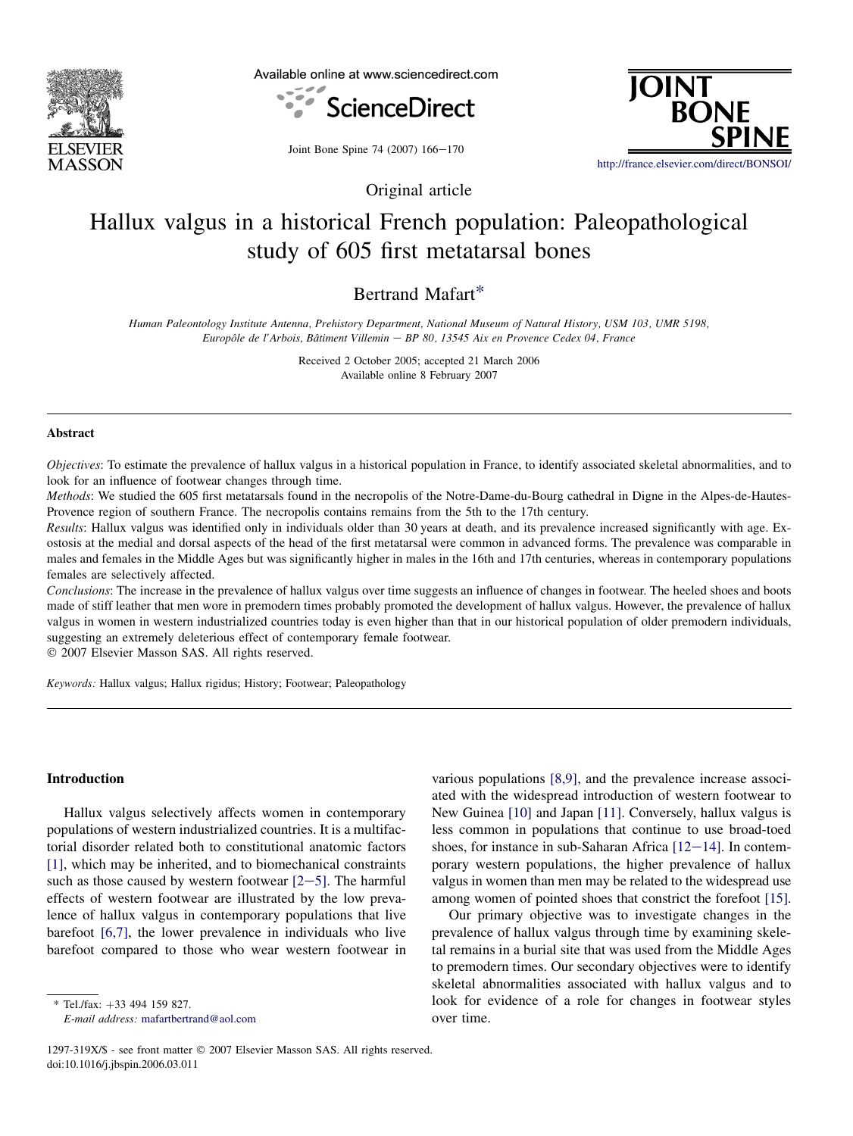

Available online at www.sciencedirect.com



JOINT<br>BONE http://france.elsevier.com/direct/BONSOL

Joint Bone Spine 74 (2007) 166-170

Original article

# Hallux valgus in a historical French population: Paleopathological study of 605 first metatarsal bones

## Bertrand Mafart\*

Human Paleontology Institute Antenna, Prehistory Department, National Museum of Natural History, USM 103, UMR 5198, Europôle de l'Arbois, Bâtiment Villemin – BP 80, 13545 Aix en Provence Cedex 04, France

> Received 2 October 2005; accepted 21 March 2006 Available online 8 February 2007

### **Abstract**

Objectives: To estimate the prevalence of hallux valgus in a historical population in France, to identify associated skeletal abnormalities, and to look for an influence of footwear changes through time.

Methods: We studied the 605 first metatarsals found in the necropolis of the Notre-Dame-du-Bourg cathedral in Digne in the Alpes-de-Hautes-Provence region of southern France. The necropolis contains remains from the 5th to the 17th century.

Results: Hallux valgus was identified only in individuals older than 30 years at death, and its prevalence increased significantly with age. Exostosis at the medial and dorsal aspects of the head of the first metatarsal were common in advanced forms. The prevalence was comparable in males and females in the Middle Ages but was significantly higher in males in the 16th and 17th centuries, whereas in contemporary populations females are selectively affected.

Conclusions: The increase in the prevalence of hallux valgus over time suggests an influence of changes in footwear. The heeled shoes and boots made of stiff leather that men wore in premodern times probably promoted the development of hallux valgus. However, the prevalence of hallux valgus in women in western industrialized countries today is even higher than that in our historical population of older premodern individuals, suggesting an extremely deleterious effect of contemporary female footwear.

 $© 2007 Elsevier Masson SAS. All rights reserved.$ 

Keywords: Hallux valgus; Hallux rigidus; History; Footwear; Paleopathology

#### Introduction

Hallux valgus selectively affects women in contemporary populations of western industrialized countries. It is a multifactorial disorder related both to constitutional anatomic factors [\[1\]](#page-4-0), which may be inherited, and to biomechanical constraints such as those caused by western footwear  $[2-5]$  $[2-5]$  $[2-5]$ . The harmful effects of western footwear are illustrated by the low prevalence of hallux valgus in contemporary populations that live barefoot [\[6,7\]](#page-4-0), the lower prevalence in individuals who live barefoot compared to those who wear western footwear in

 $*$  Tel./fax:  $+33$  494 159 827.

E-mail address: [mafartbertrand@aol.com](mailto:mafartbertrand@aol.com)

various populations [\[8,9\]](#page-4-0), and the prevalence increase associated with the widespread introduction of western footwear to New Guinea [\[10\]](#page-4-0) and Japan [\[11\]](#page-4-0). Conversely, hallux valgus is less common in populations that continue to use broad-toed shoes, for instance in sub-Saharan Africa  $[12-14]$  $[12-14]$ . In contemporary western populations, the higher prevalence of hallux valgus in women than men may be related to the widespread use among women of pointed shoes that constrict the forefoot [\[15\]](#page-4-0).

Our primary objective was to investigate changes in the prevalence of hallux valgus through time by examining skeletal remains in a burial site that was used from the Middle Ages to premodern times. Our secondary objectives were to identify skeletal abnormalities associated with hallux valgus and to look for evidence of a role for changes in footwear styles over time.

<sup>1297-319</sup>X/\$ - see front matter © 2007 Elsevier Masson SAS. All rights reserved. doi:10.1016/j.jbspin.2006.03.011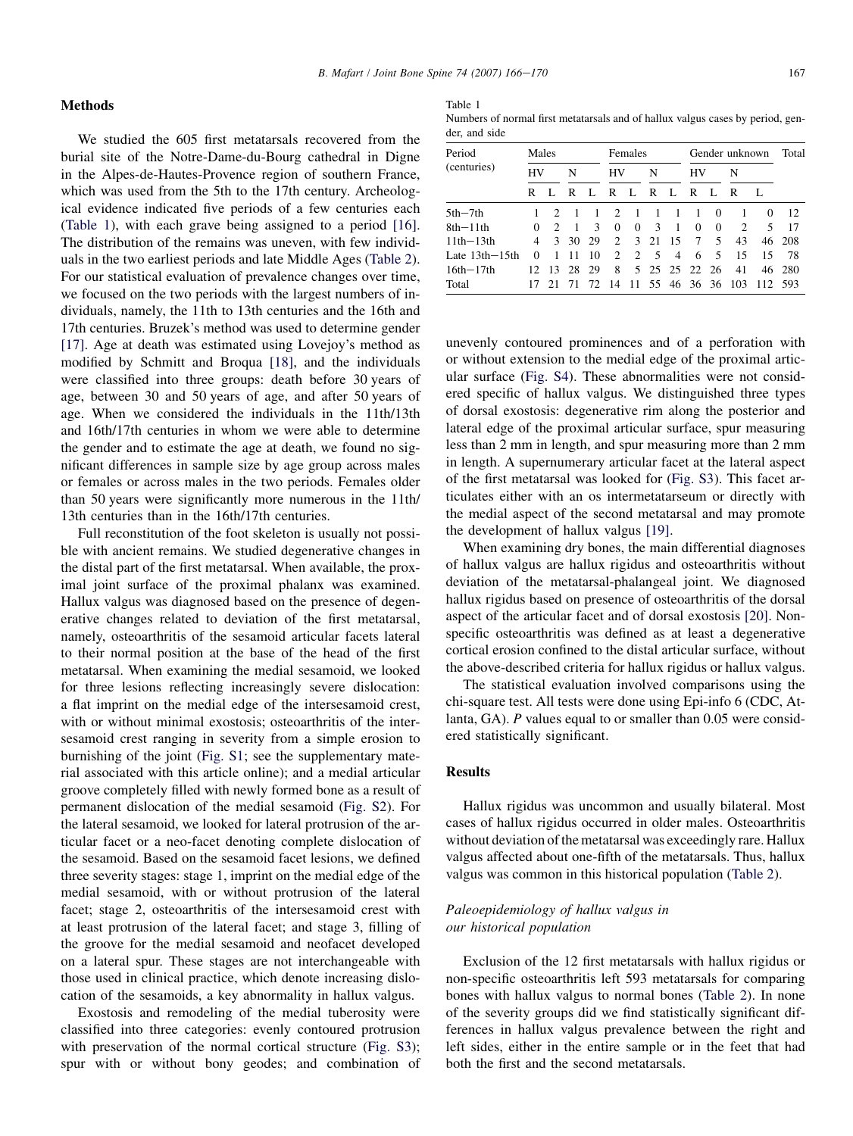Table 1

| Numbers of normal first metatarials and of hallux valgus cases by period, gen- |  |  |  |
|--------------------------------------------------------------------------------|--|--|--|
| der, and side                                                                  |  |  |  |

| Period           |                | Males         |      |               | Females                     |             |               | Gender unknown |          |          |                    | Total    |        |
|------------------|----------------|---------------|------|---------------|-----------------------------|-------------|---------------|----------------|----------|----------|--------------------|----------|--------|
| (centuries)      | HV             |               | N    |               | HV                          |             | N             |                | HV       |          | N                  |          |        |
|                  | R              |               | R    | Ι.            | R                           | L           | R             | Ι.             | R        | Ι.       | R                  |          |        |
| $5th-7th$        |                | $\mathcal{D}$ |      |               | $\mathcal{D}$               |             |               |                |          | $\Omega$ |                    | $\Omega$ | 12     |
| $8th-11th$       | 0              | $\mathcal{P}$ |      | $\mathcal{R}$ | $\Omega$                    | $\Omega$    | $\mathcal{R}$ | $\overline{1}$ | $\Omega$ | $\Omega$ | $\mathcal{L}$      | 5        | 17     |
| $11th - 13th$    | $\overline{4}$ | 3             | - 30 | 29            | $\mathcal{D}_{\mathcal{L}}$ |             | $3 \quad 21$  | 15             | $\tau$   | 5.       | 43                 |          | 46 208 |
| Late $13th-15th$ | 0              |               |      | 10            | $\mathcal{L}$               | $2^{\circ}$ | $\sqrt{5}$    | $\overline{4}$ | 6        | 5        | 15                 | 15       | 78     |
| $16th - 17th$    |                | 12.13         | -28  | 29            | 8                           |             |               | 5 25 25 22 26  |          |          | 41                 | 46       | 280    |
| Total            |                | 21            |      |               | 72. 14                      |             |               |                |          |          | 11 55 46 36 36 103 | 112      | -593   |

unevenly contoured prominences and of a perforation with or without extension to the medial edge of the proximal articular surface (Fig. S4). These abnormalities were not considered specific of hallux valgus. We distinguished three types of dorsal exostosis: degenerative rim along the posterior and lateral edge of the proximal articular surface, spur measuring less than 2 mm in length, and spur measuring more than 2 mm in length. A supernumerary articular facet at the lateral aspect of the first metatarsal was looked for (Fig. S3). This facet articulates either with an os intermetatarseum or directly with the medial aspect of the second metatarsal and may promote the development of hallux valgus [\[19\].](#page-4-0)

When examining dry bones, the main differential diagnoses of hallux valgus are hallux rigidus and osteoarthritis without deviation of the metatarsal-phalangeal joint. We diagnosed hallux rigidus based on presence of osteoarthritis of the dorsal aspect of the articular facet and of dorsal exostosis [\[20\].](#page-4-0) Nonspecific osteoarthritis was defined as at least a degenerative cortical erosion confined to the distal articular surface, without the above-described criteria for hallux rigidus or hallux valgus.

The statistical evaluation involved comparisons using the chi-square test. All tests were done using Epi-info 6 (CDC, Atlanta, GA). P values equal to or smaller than 0.05 were considered statistically significant.

## Results

Hallux rigidus was uncommon and usually bilateral. Most cases of hallux rigidus occurred in older males. Osteoarthritis without deviation of the metatarsal was exceedingly rare. Hallux valgus affected about one-fifth of the metatarsals. Thus, hallux valgus was common in this historical population [\(Table 2\)](#page-2-0).

## Paleoepidemiology of hallux valgus in our historical population

Exclusion of the 12 first metatarsals with hallux rigidus or non-specific osteoarthritis left 593 metatarsals for comparing bones with hallux valgus to normal bones [\(Table 2\)](#page-2-0). In none of the severity groups did we find statistically significant differences in hallux valgus prevalence between the right and left sides, either in the entire sample or in the feet that had both the first and the second metatarsals.

We studied the 605 first metatarsals recovered from the burial site of the Notre-Dame-du-Bourg cathedral in Digne in the Alpes-de-Hautes-Provence region of southern France, which was used from the 5th to the 17th century. Archeological evidence indicated five periods of a few centuries each (Table 1), with each grave being assigned to a period [\[16\]](#page-4-0). The distribution of the remains was uneven, with few individuals in the two earliest periods and late Middle Ages [\(Table 2\)](#page-2-0). For our statistical evaluation of prevalence changes over time, we focused on the two periods with the largest numbers of individuals, namely, the 11th to 13th centuries and the 16th and 17th centuries. Bruzek's method was used to determine gender [\[17\]](#page-4-0). Age at death was estimated using Lovejoy's method as modified by Schmitt and Broqua [\[18\],](#page-4-0) and the individuals were classified into three groups: death before 30 years of age, between 30 and 50 years of age, and after 50 years of age. When we considered the individuals in the 11th/13th and 16th/17th centuries in whom we were able to determine the gender and to estimate the age at death, we found no significant differences in sample size by age group across males or females or across males in the two periods. Females older than 50 years were significantly more numerous in the 11th/ 13th centuries than in the 16th/17th centuries.

Full reconstitution of the foot skeleton is usually not possible with ancient remains. We studied degenerative changes in the distal part of the first metatarsal. When available, the proximal joint surface of the proximal phalanx was examined. Hallux valgus was diagnosed based on the presence of degenerative changes related to deviation of the first metatarsal, namely, osteoarthritis of the sesamoid articular facets lateral to their normal position at the base of the head of the first metatarsal. When examining the medial sesamoid, we looked for three lesions reflecting increasingly severe dislocation: a flat imprint on the medial edge of the intersesamoid crest, with or without minimal exostosis; osteoarthritis of the intersesamoid crest ranging in severity from a simple erosion to burnishing of the joint (Fig. S1; see the supplementary material associated with this article online); and a medial articular groove completely filled with newly formed bone as a result of permanent dislocation of the medial sesamoid (Fig. S2). For the lateral sesamoid, we looked for lateral protrusion of the articular facet or a neo-facet denoting complete dislocation of the sesamoid. Based on the sesamoid facet lesions, we defined three severity stages: stage 1, imprint on the medial edge of the medial sesamoid, with or without protrusion of the lateral facet; stage 2, osteoarthritis of the intersesamoid crest with at least protrusion of the lateral facet; and stage 3, filling of the groove for the medial sesamoid and neofacet developed on a lateral spur. These stages are not interchangeable with those used in clinical practice, which denote increasing dislocation of the sesamoids, a key abnormality in hallux valgus.

Exostosis and remodeling of the medial tuberosity were classified into three categories: evenly contoured protrusion with preservation of the normal cortical structure (Fig. S3); spur with or without bony geodes; and combination of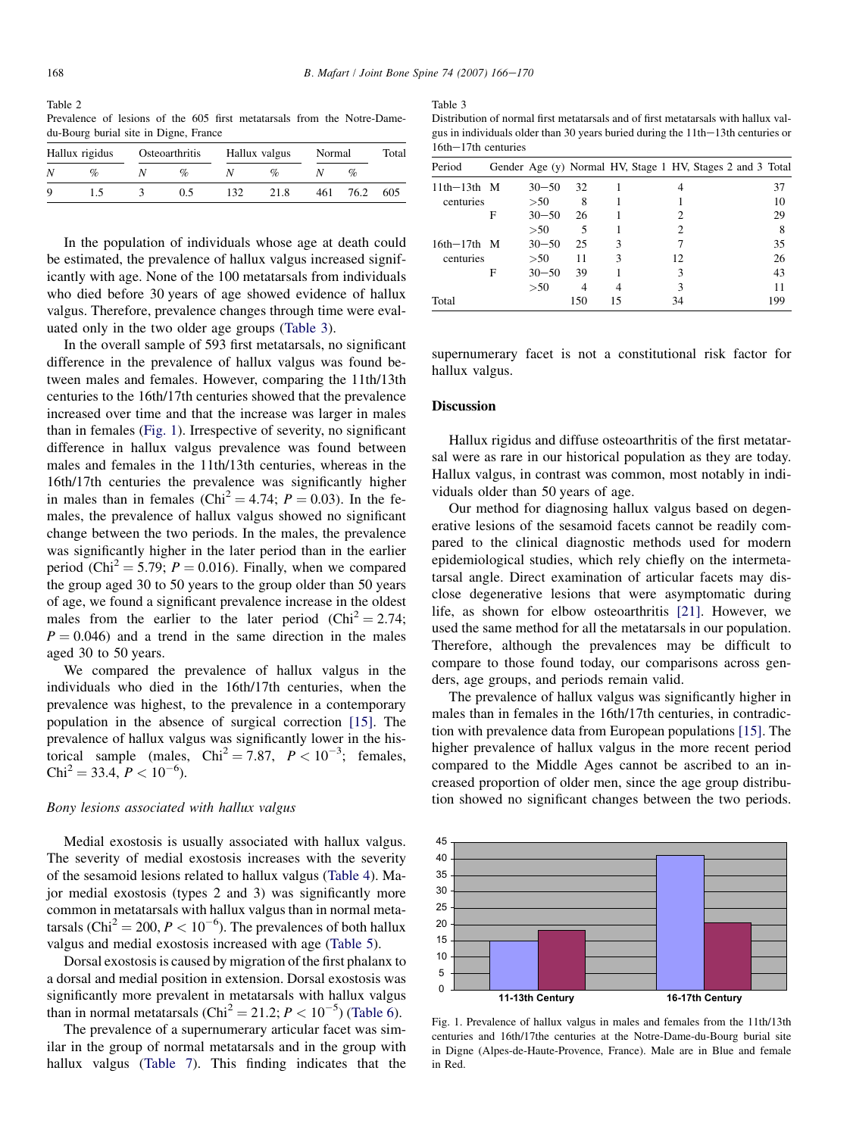<span id="page-2-0"></span>Table 2 Prevalence of lesions of the 605 first metatarsals from the Notre-Damedu-Bourg burial site in Digne, France

| Hallux rigidus | Osteoarthritis | Hallux valgus |      | Normal |      | Total |
|----------------|----------------|---------------|------|--------|------|-------|
| $\%$           | $\%$           |               | ‰    |        |      |       |
|                | 0.5            | 132           | 21.8 | 461    | 76.2 | 605   |

In the population of individuals whose age at death could be estimated, the prevalence of hallux valgus increased significantly with age. None of the 100 metatarsals from individuals who died before 30 years of age showed evidence of hallux valgus. Therefore, prevalence changes through time were evaluated only in the two older age groups (Table 3).

In the overall sample of 593 first metatarsals, no significant difference in the prevalence of hallux valgus was found between males and females. However, comparing the 11th/13th centuries to the 16th/17th centuries showed that the prevalence increased over time and that the increase was larger in males than in females (Fig. 1). Irrespective of severity, no significant difference in hallux valgus prevalence was found between males and females in the 11th/13th centuries, whereas in the 16th/17th centuries the prevalence was significantly higher in males than in females (Chi<sup>2</sup> = 4.74;  $P = 0.03$ ). In the females, the prevalence of hallux valgus showed no significant change between the two periods. In the males, the prevalence was significantly higher in the later period than in the earlier period (Chi<sup>2</sup> = 5.79;  $P = 0.016$ ). Finally, when we compared the group aged 30 to 50 years to the group older than 50 years of age, we found a significant prevalence increase in the oldest males from the earlier to the later period (Chi<sup>2</sup> = 2.74;  $P = 0.046$  and a trend in the same direction in the males aged 30 to 50 years.

We compared the prevalence of hallux valgus in the individuals who died in the 16th/17th centuries, when the prevalence was highest, to the prevalence in a contemporary population in the absence of surgical correction [\[15\].](#page-4-0) The prevalence of hallux valgus was significantly lower in the historical sample (males,  $Chi^2 = 7.87$ ,  $P < 10^{-3}$ ; females,  $Chi^2 = 33.4, P < 10^{-6}$ ).

## Bony lesions associated with hallux valgus

Medial exostosis is usually associated with hallux valgus. The severity of medial exostosis increases with the severity of the sesamoid lesions related to hallux valgus ([Table 4\)](#page-3-0). Major medial exostosis (types 2 and 3) was significantly more common in metatarsals with hallux valgus than in normal metatarsals (Chi<sup>2</sup> = 200,  $P < 10^{-6}$ ). The prevalences of both hallux valgus and medial exostosis increased with age ([Table 5\)](#page-3-0).

Dorsal exostosis is caused by migration of the first phalanx to a dorsal and medial position in extension. Dorsal exostosis was significantly more prevalent in metatarsals with hallux valgus than in normal metatarsals (Chi<sup>2</sup> = 21.2;  $P < 10^{-5}$ ) ([Table 6](#page-3-0)).

The prevalence of a supernumerary articular facet was similar in the group of normal metatarsals and in the group with hallux valgus ([Table 7\)](#page-4-0). This finding indicates that the

Table 3

| Distribution of normal first metatarsals and of first metatarsals with hallux val- |
|------------------------------------------------------------------------------------|
| gus in individuals older than 30 years buried during the $11th-13th$ centuries or  |
| $16th - 17th$ centuries                                                            |

| Period        |   | Gender Age (y) Normal HV, Stage 1 HV, Stages 2 and 3 Total |     |               |    |  |     |
|---------------|---|------------------------------------------------------------|-----|---------------|----|--|-----|
| $11th-13th$ M |   | $30 - 50$                                                  | 32  |               |    |  | 37  |
| centuries     |   | >50                                                        | 8   |               |    |  | 10  |
|               | F | $30 - 50$                                                  | 26  |               |    |  | 29  |
|               |   | >50                                                        | 5   |               | 2  |  | 8   |
| $16th-17th$ M |   | $30 - 50$                                                  | 25  | $\mathcal{R}$ |    |  | 35  |
| centuries     |   | >50                                                        | 11  | 3             | 12 |  | 26  |
|               | F | $30 - 50$                                                  | 39  |               | 3  |  | 43  |
|               |   | >50                                                        | 4   |               | 3  |  | 11  |
| Total         |   |                                                            | 150 | 15            | 34 |  | 199 |

supernumerary facet is not a constitutional risk factor for hallux valgus.

## **Discussion**

Hallux rigidus and diffuse osteoarthritis of the first metatarsal were as rare in our historical population as they are today. Hallux valgus, in contrast was common, most notably in individuals older than 50 years of age.

Our method for diagnosing hallux valgus based on degenerative lesions of the sesamoid facets cannot be readily compared to the clinical diagnostic methods used for modern epidemiological studies, which rely chiefly on the intermetatarsal angle. Direct examination of articular facets may disclose degenerative lesions that were asymptomatic during life, as shown for elbow osteoarthritis [\[21\]](#page-4-0). However, we used the same method for all the metatarsals in our population. Therefore, although the prevalences may be difficult to compare to those found today, our comparisons across genders, age groups, and periods remain valid.

The prevalence of hallux valgus was significantly higher in males than in females in the 16th/17th centuries, in contradiction with prevalence data from European populations [\[15\]](#page-4-0). The higher prevalence of hallux valgus in the more recent period compared to the Middle Ages cannot be ascribed to an increased proportion of older men, since the age group distribution showed no significant changes between the two periods.



Fig. 1. Prevalence of hallux valgus in males and females from the 11th/13th centuries and 16th/17the centuries at the Notre-Dame-du-Bourg burial site in Digne (Alpes-de-Haute-Provence, France). Male are in Blue and female in Red.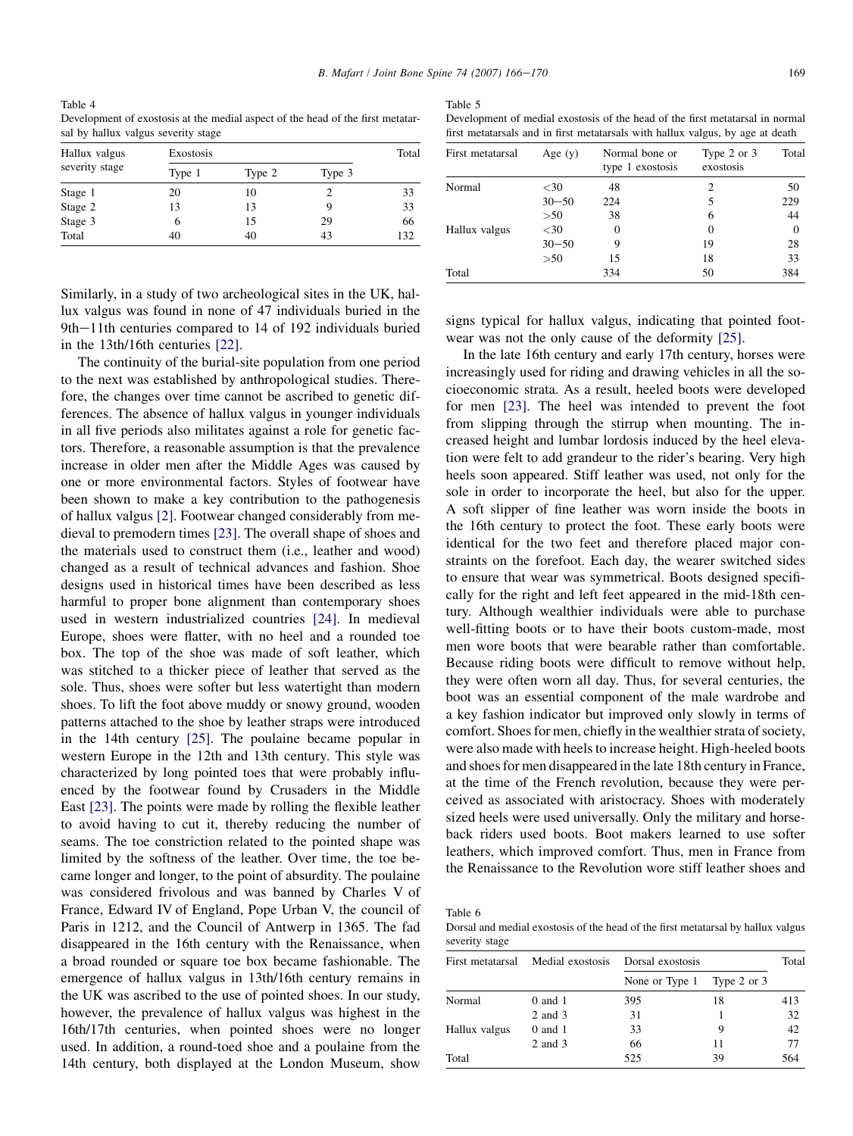Table 5

<span id="page-3-0"></span>Table 4 Development of exostosis at the medial aspect of the head of the first metatarsal by hallux valgus severity stage

| Hallux valgus<br>severity stage | Exostosis |        |        |     |  |  |
|---------------------------------|-----------|--------|--------|-----|--|--|
|                                 | Type 1    | Type 2 | Type 3 |     |  |  |
| Stage 1                         | 20        | 10     |        | 33  |  |  |
| Stage 2                         | 13        | 13     |        | 33  |  |  |
| Stage 3                         | 6         | 15     | 29     | 66  |  |  |
| Total                           | 40        | 40     | 43     | 132 |  |  |

Similarly, in a study of two archeological sites in the UK, hallux valgus was found in none of 47 individuals buried in the 9th-11th centuries compared to 14 of 192 individuals buried in the 13th/16th centuries [\[22\]](#page-4-0).

The continuity of the burial-site population from one period to the next was established by anthropological studies. Therefore, the changes over time cannot be ascribed to genetic differences. The absence of hallux valgus in younger individuals in all five periods also militates against a role for genetic factors. Therefore, a reasonable assumption is that the prevalence increase in older men after the Middle Ages was caused by one or more environmental factors. Styles of footwear have been shown to make a key contribution to the pathogenesis of hallux valgus [\[2\]](#page-4-0). Footwear changed considerably from medieval to premodern times [\[23\].](#page-4-0) The overall shape of shoes and the materials used to construct them (i.e., leather and wood) changed as a result of technical advances and fashion. Shoe designs used in historical times have been described as less harmful to proper bone alignment than contemporary shoes used in western industrialized countries [\[24\]](#page-4-0). In medieval Europe, shoes were flatter, with no heel and a rounded toe box. The top of the shoe was made of soft leather, which was stitched to a thicker piece of leather that served as the sole. Thus, shoes were softer but less watertight than modern shoes. To lift the foot above muddy or snowy ground, wooden patterns attached to the shoe by leather straps were introduced in the 14th century [\[25\]](#page-4-0). The poulaine became popular in western Europe in the 12th and 13th century. This style was characterized by long pointed toes that were probably influenced by the footwear found by Crusaders in the Middle East [\[23\]](#page-4-0). The points were made by rolling the flexible leather to avoid having to cut it, thereby reducing the number of seams. The toe constriction related to the pointed shape was limited by the softness of the leather. Over time, the toe became longer and longer, to the point of absurdity. The poulaine was considered frivolous and was banned by Charles V of France, Edward IV of England, Pope Urban V, the council of Paris in 1212, and the Council of Antwerp in 1365. The fad disappeared in the 16th century with the Renaissance, when a broad rounded or square toe box became fashionable. The emergence of hallux valgus in 13th/16th century remains in the UK was ascribed to the use of pointed shoes. In our study, however, the prevalence of hallux valgus was highest in the 16th/17th centuries, when pointed shoes were no longer used. In addition, a round-toed shoe and a poulaine from the 14th century, both displayed at the London Museum, show

| ble |  |  |  |  |
|-----|--|--|--|--|
|-----|--|--|--|--|

| Development of medial exostosis of the head of the first metatarsal in normal  |  |  |  |  |
|--------------------------------------------------------------------------------|--|--|--|--|
| first metatarials and in first metatarials with hallux valgus, by age at death |  |  |  |  |

| First metatarsal | Age $(y)$ | Normal bone or<br>type 1 exostosis | Type 2 or 3<br>exostosis | Total    |
|------------------|-----------|------------------------------------|--------------------------|----------|
| Normal           | $<$ 30    | 48                                 | 2                        | 50       |
|                  | $30 - 50$ | 224                                |                          | 229      |
|                  | >50       | 38                                 | 6                        | 44       |
| Hallux valgus    | $<$ 30    | $\theta$                           | $\Omega$                 | $\Omega$ |
|                  | $30 - 50$ | 9                                  | 19                       | 28       |
|                  | >50       | 15                                 | 18                       | 33       |
| Total            |           | 334                                | 50                       | 384      |

signs typical for hallux valgus, indicating that pointed footwear was not the only cause of the deformity [\[25\]](#page-4-0).

In the late 16th century and early 17th century, horses were increasingly used for riding and drawing vehicles in all the socioeconomic strata. As a result, heeled boots were developed for men [\[23\].](#page-4-0) The heel was intended to prevent the foot from slipping through the stirrup when mounting. The increased height and lumbar lordosis induced by the heel elevation were felt to add grandeur to the rider's bearing. Very high heels soon appeared. Stiff leather was used, not only for the sole in order to incorporate the heel, but also for the upper. A soft slipper of fine leather was worn inside the boots in the 16th century to protect the foot. These early boots were identical for the two feet and therefore placed major constraints on the forefoot. Each day, the wearer switched sides to ensure that wear was symmetrical. Boots designed specifically for the right and left feet appeared in the mid-18th century. Although wealthier individuals were able to purchase well-fitting boots or to have their boots custom-made, most men wore boots that were bearable rather than comfortable. Because riding boots were difficult to remove without help, they were often worn all day. Thus, for several centuries, the boot was an essential component of the male wardrobe and a key fashion indicator but improved only slowly in terms of comfort. Shoes for men, chiefly in the wealthier strata of society, were also made with heels to increase height. High-heeled boots and shoes for men disappeared in the late 18th century in France, at the time of the French revolution, because they were perceived as associated with aristocracy. Shoes with moderately sized heels were used universally. Only the military and horseback riders used boots. Boot makers learned to use softer leathers, which improved comfort. Thus, men in France from the Renaissance to the Revolution wore stiff leather shoes and

Table 6

Dorsal and medial exostosis of the head of the first metatarsal by hallux valgus severity stage

| First metatarsal | Medial exostosis | Dorsal exostosis | Total       |     |
|------------------|------------------|------------------|-------------|-----|
|                  |                  | None or Type 1   | Type 2 or 3 |     |
| Normal           | $0$ and $1$      | 395              | 18          | 413 |
|                  | 2 and 3          | 31               |             | 32  |
| Hallux valgus    | $0$ and $1$      | 33               |             | 42  |
|                  | 2 and 3          | 66               | 11          | 77  |
| Total            |                  | 525              | 39          | 564 |